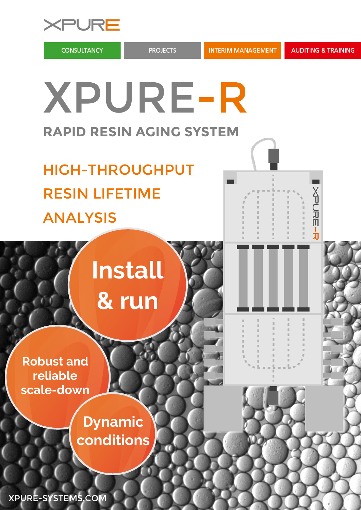

**CONSULTANCY** 

**NADHE-F** 

XPURE-R **RAPID RESIN AGING SYSTEM**

HIGH-THROUGHPUT RESIN LIFETIME ANALYSIS

# **Install & run**

**Robust and reliable scale-down**

> **Dynamic conditions**

XPURE-SYSTEMS.COM